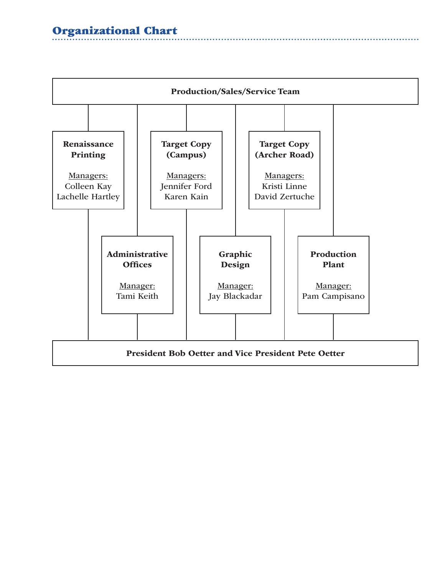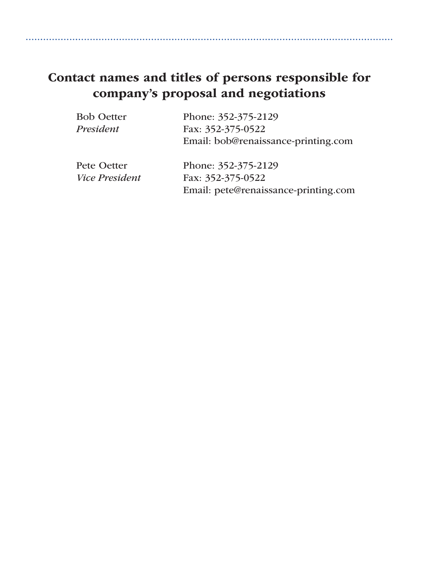# Contact names and titles of persons responsible for company's proposal and negotiations

| <b>Bob Oetter</b>                                                                                                                                                                                                                                                                                                                                 | Phone: 352-375-2129                                      |
|---------------------------------------------------------------------------------------------------------------------------------------------------------------------------------------------------------------------------------------------------------------------------------------------------------------------------------------------------|----------------------------------------------------------|
| President                                                                                                                                                                                                                                                                                                                                         | Fax: 352-375-0522<br>Email: bob@renaissance-printing.com |
| Pete Oetter<br>$\mathbf{r}$ $\mathbf{r}$ $\mathbf{r}$ $\mathbf{r}$ $\mathbf{r}$ $\mathbf{r}$ $\mathbf{r}$ $\mathbf{r}$ $\mathbf{r}$ $\mathbf{r}$ $\mathbf{r}$ $\mathbf{r}$ $\mathbf{r}$ $\mathbf{r}$ $\mathbf{r}$ $\mathbf{r}$ $\mathbf{r}$ $\mathbf{r}$ $\mathbf{r}$ $\mathbf{r}$ $\mathbf{r}$ $\mathbf{r}$ $\mathbf{r}$ $\mathbf{r}$ $\mathbf{$ | Phone: 352-375-2129                                      |

*Vice President* Fax: 352-375-0522 Email: pete@renaissance-printing.com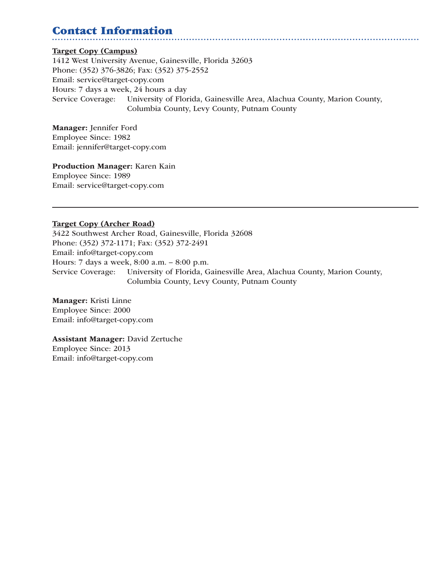# Contact Information

#### Target Copy (Campus)

1412 West University Avenue, Gainesville, Florida 32603 Phone: (352) 376-3826; Fax: (352) 375-2552 Email: service@target-copy.com Hours: 7 days a week, 24 hours a day Service Coverage: University of Florida, Gainesville Area, Alachua County, Marion County, Columbia County, Levy County, Putnam County

Manager: Jennifer Ford Employee Since: 1982 Email: jennifer@target-copy.com

Production Manager: Karen Kain Employee Since: 1989 Email: service@target-copy.com

#### Target Copy (Archer Road)

3422 Southwest Archer Road, Gainesville, Florida 32608 Phone: (352) 372-1171; Fax: (352) 372-2491 Email: info@target-copy.com Hours: 7 days a week, 8:00 a.m. – 8:00 p.m. Service Coverage: University of Florida, Gainesville Area, Alachua County, Marion County, Columbia County, Levy County, Putnam County

Manager: Kristi Linne Employee Since: 2000 Email: info@target-copy.com

Assistant Manager: David Zertuche Employee Since: 2013 Email: info@target-copy.com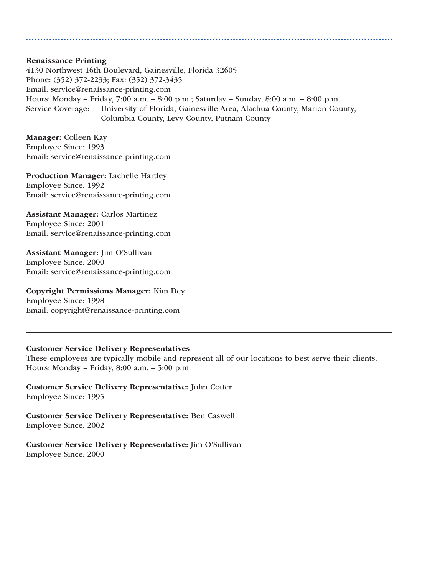#### Renaissance Printing

4130 Northwest 16th Boulevard, Gainesville, Florida 32605 Phone: (352) 372-2233; Fax: (352) 372-3435 Email: service@renaissance-printing.com Hours: Monday – Friday, 7:00 a.m. – 8:00 p.m.; Saturday – Sunday, 8:00 a.m. – 8:00 p.m. Service Coverage: University of Florida, Gainesville Area, Alachua County, Marion County, Columbia County, Levy County, Putnam County

Manager: Colleen Kay Employee Since: 1993 Email: service@renaissance-printing.com

Production Manager: Lachelle Hartley Employee Since: 1992 Email: service@renaissance-printing.com

Assistant Manager: Carlos Martinez Employee Since: 2001 Email: service@renaissance-printing.com

Assistant Manager: Jim O'Sullivan Employee Since: 2000 Email: service@renaissance-printing.com

Copyright Permissions Manager: Kim Dey Employee Since: 1998 Email: copyright@renaissance-printing.com

#### Customer Service Delivery Representatives

These employees are typically mobile and represent all of our locations to best serve their clients. Hours: Monday – Friday, 8:00 a.m. – 5:00 p.m.

Customer Service Delivery Representative: John Cotter Employee Since: 1995

Customer Service Delivery Representative: Ben Caswell Employee Since: 2002

Customer Service Delivery Representative: Jim O'Sullivan Employee Since: 2000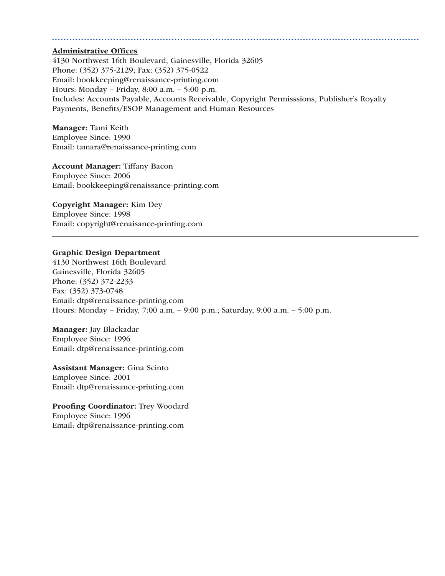#### Administrative Offices

4130 Northwest 16th Boulevard, Gainesville, Florida 32605 Phone: (352) 375-2129; Fax: (352) 375-0522 Email: bookkeeping@renaissance-printing.com Hours: Monday – Friday, 8:00 a.m. – 5:00 p.m. Includes: Accounts Payable, Accounts Receivable, Copyright Permisssions, Publisher's Royalty Payments, Benefits/ESOP Management and Human Resources

Manager: Tami Keith Employee Since: 1990 Email: tamara@renaissance-printing.com

Account Manager: Tiffany Bacon Employee Since: 2006 Email: bookkeeping@renaissance-printing.com

#### Copyright Manager: Kim Dey

Employee Since: 1998 Email: copyright@renaisance-printing.com

#### Graphic Design Department

4130 Northwest 16th Boulevard Gainesville, Florida 32605 Phone: (352) 372-2233 Fax: (352) 373-0748 Email: dtp@renaissance-printing.com Hours: Monday – Friday, 7:00 a.m. – 9:00 p.m.; Saturday, 9:00 a.m. – 5:00 p.m.

Manager: Jay Blackadar Employee Since: 1996 Email: dtp@renaissance-printing.com

Assistant Manager: Gina Scinto Employee Since: 2001 Email: dtp@renaissance-printing.com

Proofing Coordinator: Trey Woodard Employee Since: 1996 Email: dtp@renaissance-printing.com